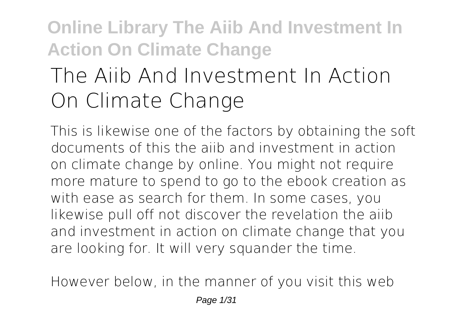# **The Aiib And Investment In Action On Climate Change**

This is likewise one of the factors by obtaining the soft documents of this **the aiib and investment in action on climate change** by online. You might not require more mature to spend to go to the ebook creation as with ease as search for them. In some cases, you likewise pull off not discover the revelation the aiib and investment in action on climate change that you are looking for. It will very squander the time.

However below, in the manner of you visit this web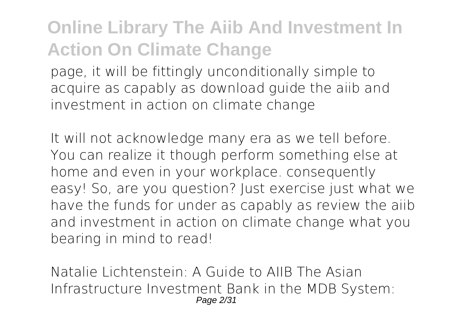page, it will be fittingly unconditionally simple to acquire as capably as download guide the aiib and investment in action on climate change

It will not acknowledge many era as we tell before. You can realize it though perform something else at home and even in your workplace. consequently easy! So, are you question? Just exercise just what we have the funds for under as capably as review **the aiib and investment in action on climate change** what you bearing in mind to read!

Natalie Lichtenstein: A Guide to AIIB The Asian Infrastructure Investment Bank in the MDB System: Page 2/31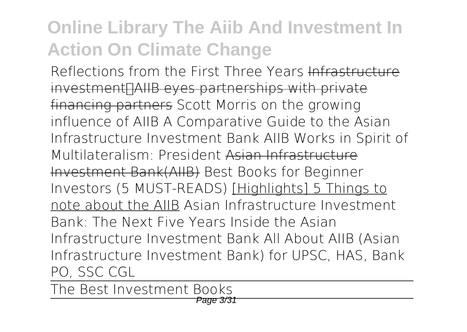Reflections from the First Three Years Infrastructure investment<sub>[</sub>]AIIB eyes partnerships with private financing partners *Scott Morris on the growing influence of AIIB A Comparative Guide to the Asian Infrastructure Investment Bank* AIIB Works in Spirit of Multilateralism: President Asian Infrastructure Investment Bank(AIIB) *Best Books for Beginner Investors (5 MUST-READS)* [Highlights] 5 Things to note about the AIIB **Asian Infrastructure Investment Bank: The Next Five Years** *Inside the Asian Infrastructure Investment Bank All About AIIB (Asian Infrastructure Investment Bank) for UPSC, HAS, Bank PO, SSC CGL*

The Best Investment Books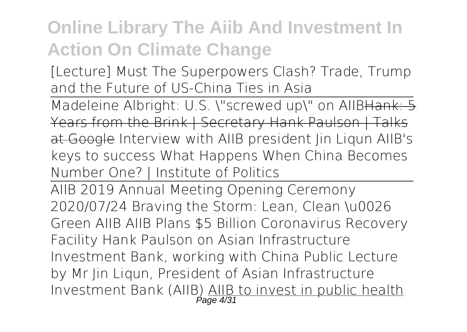[Lecture] Must The Superpowers Clash? Trade, Trump and the Future of US-China Ties in Asia

Madeleine Albright: U.S. \"screwed up\" on AllBHank: 5 Years from the Brink | Secretary Hank Paulson | Talks at Google **Interview with AIIB president Jin Liqun** AIIB's keys to success *What Happens When China Becomes Number One? | Institute of Politics*

AIIB 2019 Annual Meeting Opening Ceremony *2020/07/24 Braving the Storm: Lean, Clean \u0026 Green AIIB AIIB Plans \$5 Billion Coronavirus Recovery Facility Hank Paulson on Asian Infrastructure Investment Bank, working with China* **Public Lecture by Mr Jin Liqun, President of Asian Infrastructure Investment Bank (AIIB<u>) AIIB to invest in public health</u>**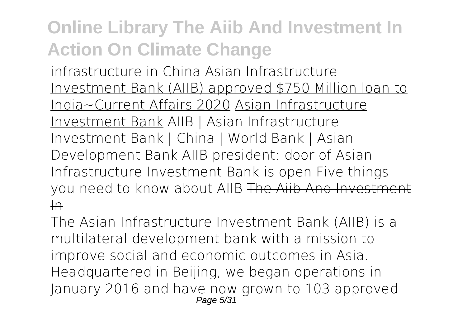infrastructure in China Asian Infrastructure Investment Bank (AIIB) approved \$750 Million loan to India~Current Affairs 2020 Asian Infrastructure Investment Bank AIIB | Asian Infrastructure Investment Bank | China | World Bank | Asian Development Bank AIIB president: door of Asian Infrastructure Investment Bank is open Five things you need to know about AIIB The Aiib And Investment  $\overline{I}$ 

The Asian Infrastructure Investment Bank (AIIB) is a multilateral development bank with a mission to improve social and economic outcomes in Asia. Headquartered in Beijing, we began operations in January 2016 and have now grown to 103 approved Page 5/31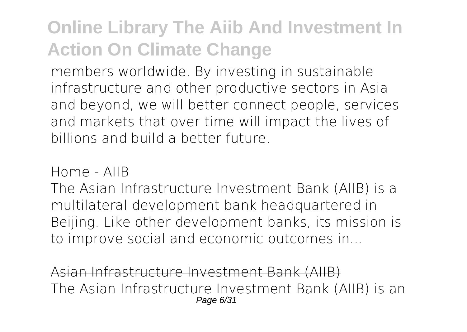members worldwide. By investing in sustainable infrastructure and other productive sectors in Asia and beyond, we will better connect people, services and markets that over time will impact the lives of billions and build a better future.

#### Home - AIIB

The Asian Infrastructure Investment Bank (AIIB) is a multilateral development bank headquartered in Beijing. Like other development banks, its mission is to improve social and economic outcomes in...

Asian Infrastructure Investment Bank (AIIB) The Asian Infrastructure Investment Bank (AIIB) is an Page 6/31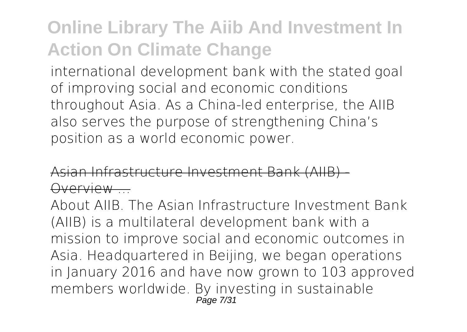international development bank with the stated goal of improving social and economic conditions throughout Asia. As a China-led enterprise, the AIIB also serves the purpose of strengthening China's position as a world economic power.

Asian Infrastructure Investment Bank (AIIB) - ).verview ...

About AIIB. The Asian Infrastructure Investment Bank (AIIB) is a multilateral development bank with a mission to improve social and economic outcomes in Asia. Headquartered in Beijing, we began operations in January 2016 and have now grown to 103 approved members worldwide. By investing in sustainable Page 7/31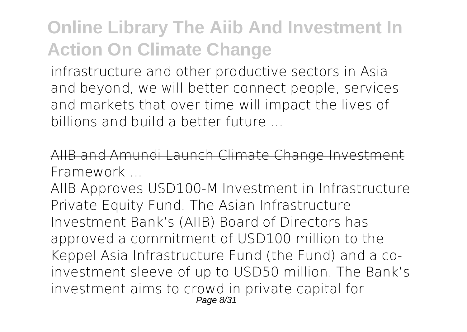infrastructure and other productive sectors in Asia and beyond, we will better connect people, services and markets that over time will impact the lives of billions and build a better future ...

AIIB and Amundi Launch Climate Change Investm Framework ...

AIIB Approves USD100-M Investment in Infrastructure Private Equity Fund. The Asian Infrastructure Investment Bank's (AIIB) Board of Directors has approved a commitment of USD100 million to the Keppel Asia Infrastructure Fund (the Fund) and a coinvestment sleeve of up to USD50 million. The Bank's investment aims to crowd in private capital for Page 8/31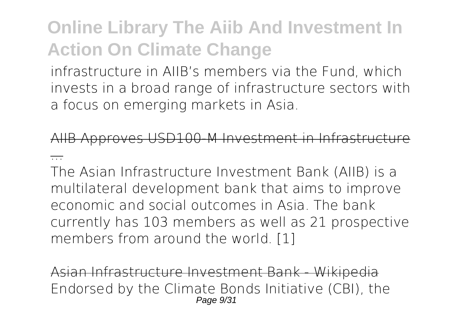infrastructure in AIIB's members via the Fund, which invests in a broad range of infrastructure sectors with a focus on emerging markets in Asia.

Approves USD100-M Investment in Infrastru

...

The Asian Infrastructure Investment Bank (AIIB) is a multilateral development bank that aims to improve economic and social outcomes in Asia. The bank currently has 103 members as well as 21 prospective members from around the world. [1]

Asian Infrastructure Investment Bank - Wikipedia Endorsed by the Climate Bonds Initiative (CBI), the Page  $9/31$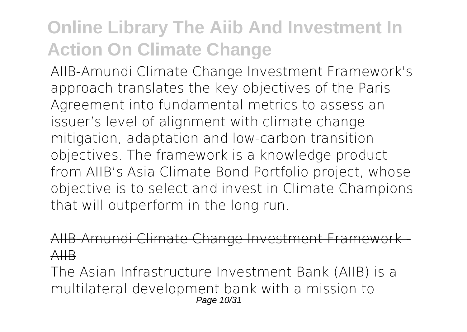AIIB-Amundi Climate Change Investment Framework's approach translates the key objectives of the Paris Agreement into fundamental metrics to assess an issuer's level of alignment with climate change mitigation, adaptation and low-carbon transition objectives. The framework is a knowledge product from AIIB's Asia Climate Bond Portfolio project, whose objective is to select and invest in Climate Champions that will outperform in the long run.

AIIB-Amundi Climate Change Investment Framework AIIB

The Asian Infrastructure Investment Bank (AIIB) is a multilateral development bank with a mission to Page 10/31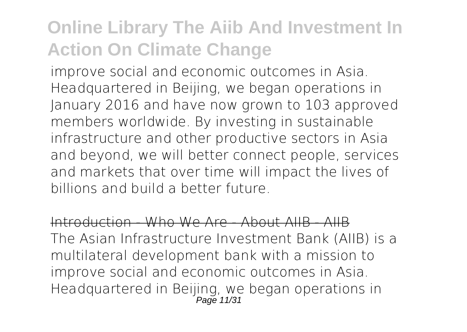improve social and economic outcomes in Asia. Headquartered in Beijing, we began operations in January 2016 and have now grown to 103 approved members worldwide. By investing in sustainable infrastructure and other productive sectors in Asia and beyond, we will better connect people, services and markets that over time will impact the lives of billions and build a better future.

Introduction - Who We Are - About AIIB - AIIB The Asian Infrastructure Investment Bank (AIIB) is a multilateral development bank with a mission to improve social and economic outcomes in Asia. Headquartered in Beijing, we began operations in Page 11/31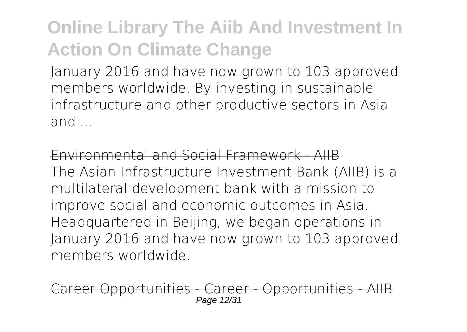January 2016 and have now grown to 103 approved members worldwide. By investing in sustainable infrastructure and other productive sectors in Asia and ...

Environmental and Social Framework - AIIB The Asian Infrastructure Investment Bank (AIIB) is a multilateral development bank with a mission to improve social and economic outcomes in Asia. Headquartered in Beijing, we began operations in January 2016 and have now grown to 103 approved members worldwide.

Career Opportunities - Career - Opportunities - AIIB Page 12/31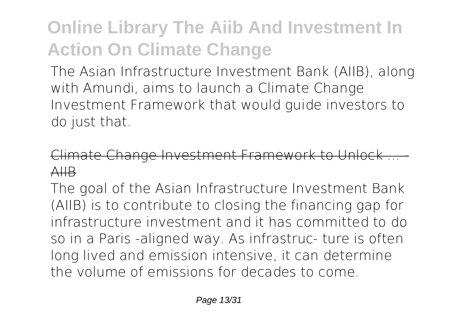The Asian Infrastructure Investment Bank (AIIB), along with Amundi, aims to launch a Climate Change Investment Framework that would guide investors to do just that.

#### Climate Change Investment Framework to Unlock AIIB

The goal of the Asian Infrastructure Investment Bank (AIIB) is to contribute to closing the financing gap for infrastructure investment and it has committed to do so in a Paris -aligned way. As infrastruc- ture is often long lived and emission intensive, it can determine the volume of emissions for decades to come.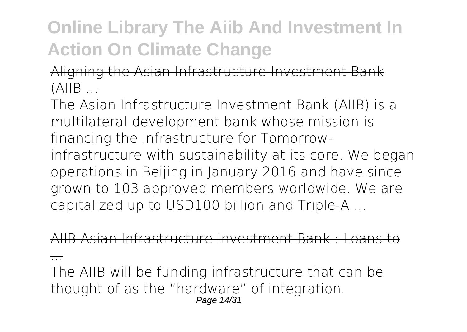Aligning the Asian Infrastructure Investment Bank  $(AHB...$ 

The Asian Infrastructure Investment Bank (AIIB) is a multilateral development bank whose mission is financing the Infrastructure for Tomorrowinfrastructure with sustainability at its core. We began operations in Beijing in January 2016 and have since grown to 103 approved members worldwide. We are capitalized up to USD100 billion and Triple-A ...

AIIB Asian Infrastructure Investment Bank : Loans to

...

The AIIB will be funding infrastructure that can be thought of as the "hardware" of integration. Page 14/31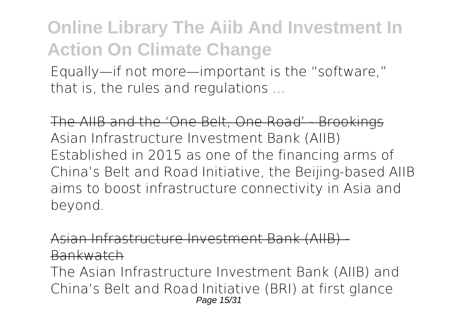Equally—if not more—important is the "software," that is, the rules and regulations ...

The AIIB and the 'One Belt, One Road' - Brookings Asian Infrastructure Investment Bank (AIIB) Established in 2015 as one of the financing arms of China's Belt and Road Initiative, the Beijing-based AIIB aims to boost infrastructure connectivity in Asia and beyond.

Asian Infrastructure Investment Bank (AIIB) - Bankwatch

The Asian Infrastructure Investment Bank (AIIB) and China's Belt and Road Initiative (BRI) at first glance Page 15/31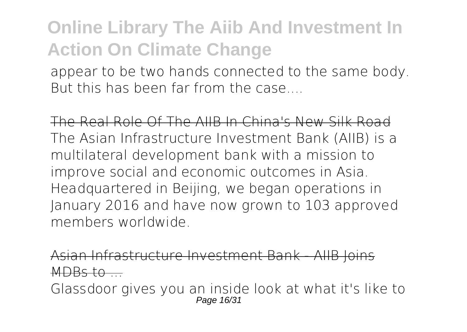appear to be two hands connected to the same body. But this has been far from the case...

The Real Role Of The AIIB In China's New Silk Road The Asian Infrastructure Investment Bank (AIIB) is a multilateral development bank with a mission to improve social and economic outcomes in Asia. Headquartered in Beijing, we began operations in January 2016 and have now grown to 103 approved members worldwide.

Asian Infrastructure Investment Bank - AIIB Joins  $MDBS to$ 

Glassdoor gives you an inside look at what it's like to Page 16/31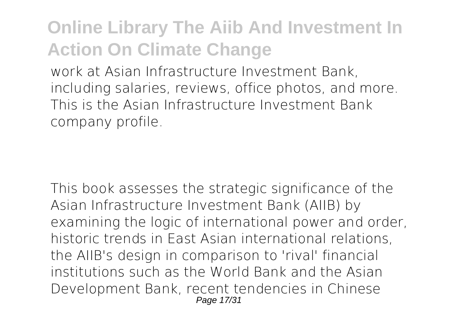work at Asian Infrastructure Investment Bank, including salaries, reviews, office photos, and more. This is the Asian Infrastructure Investment Bank company profile.

This book assesses the strategic significance of the Asian Infrastructure Investment Bank (AIIB) by examining the logic of international power and order, historic trends in East Asian international relations, the AIIB's design in comparison to 'rival' financial institutions such as the World Bank and the Asian Development Bank, recent tendencies in Chinese Page  $17/3$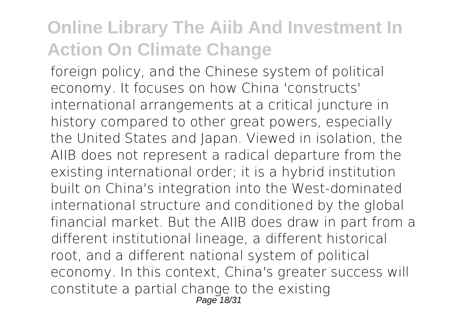foreign policy, and the Chinese system of political economy. It focuses on how China 'constructs' international arrangements at a critical juncture in history compared to other great powers, especially the United States and Japan. Viewed in isolation, the AIIB does not represent a radical departure from the existing international order; it is a hybrid institution built on China's integration into the West-dominated international structure and conditioned by the global financial market. But the AIIB does draw in part from a different institutional lineage, a different historical root, and a different national system of political economy. In this context, China's greater success will constitute a partial change to the existing  $P$ age  $18/3$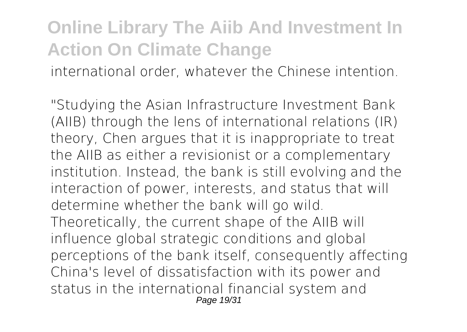international order, whatever the Chinese intention.

"Studying the Asian Infrastructure Investment Bank (AIIB) through the lens of international relations (IR) theory, Chen argues that it is inappropriate to treat the AIIB as either a revisionist or a complementary institution. Instead, the bank is still evolving and the interaction of power, interests, and status that will determine whether the bank will go wild. Theoretically, the current shape of the AIIB will influence global strategic conditions and global perceptions of the bank itself, consequently affecting China's level of dissatisfaction with its power and status in the international financial system and Page 19/31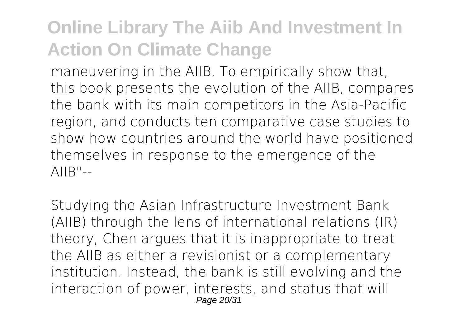maneuvering in the AIIB. To empirically show that, this book presents the evolution of the AIIB, compares the bank with its main competitors in the Asia-Pacific region, and conducts ten comparative case studies to show how countries around the world have positioned themselves in response to the emergence of the  $AIIB"--$ 

Studying the Asian Infrastructure Investment Bank (AIIB) through the lens of international relations (IR) theory, Chen argues that it is inappropriate to treat the AIIB as either a revisionist or a complementary institution. Instead, the bank is still evolving and the interaction of power, interests, and status that will Page 20/31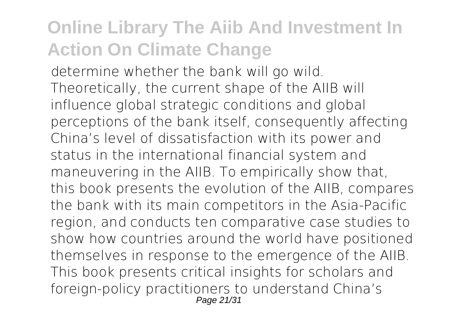determine whether the bank will go wild. Theoretically, the current shape of the AIIB will influence global strategic conditions and global perceptions of the bank itself, consequently affecting China's level of dissatisfaction with its power and status in the international financial system and maneuvering in the AIIB. To empirically show that, this book presents the evolution of the AIIB, compares the bank with its main competitors in the Asia-Pacific region, and conducts ten comparative case studies to show how countries around the world have positioned themselves in response to the emergence of the AIIB. This book presents critical insights for scholars and foreign-policy practitioners to understand China's Page 21/31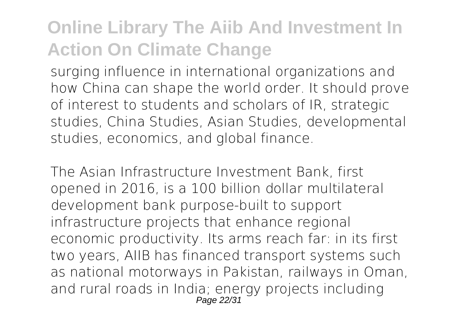surging influence in international organizations and how China can shape the world order. It should prove of interest to students and scholars of IR, strategic studies, China Studies, Asian Studies, developmental studies, economics, and global finance.

The Asian Infrastructure Investment Bank, first opened in 2016, is a 100 billion dollar multilateral development bank purpose-built to support infrastructure projects that enhance regional economic productivity. Its arms reach far: in its first two years, AIIB has financed transport systems such as national motorways in Pakistan, railways in Oman, and rural roads in India; energy projects including Page 22/31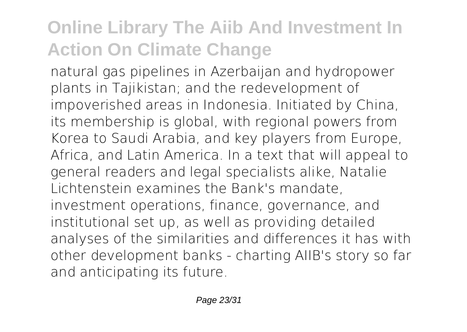natural gas pipelines in Azerbaijan and hydropower plants in Tajikistan; and the redevelopment of impoverished areas in Indonesia. Initiated by China, its membership is global, with regional powers from Korea to Saudi Arabia, and key players from Europe, Africa, and Latin America. In a text that will appeal to general readers and legal specialists alike, Natalie Lichtenstein examines the Bank's mandate, investment operations, finance, governance, and institutional set up, as well as providing detailed analyses of the similarities and differences it has with other development banks - charting AIIB's story so far and anticipating its future.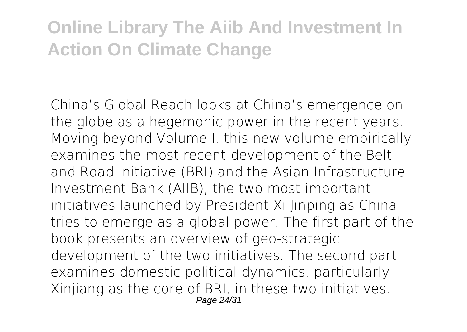China's Global Reach looks at China's emergence on the globe as a hegemonic power in the recent years. Moving beyond Volume I, this new volume empirically examines the most recent development of the Belt and Road Initiative (BRI) and the Asian Infrastructure Investment Bank (AIIB), the two most important initiatives launched by President Xi Jinping as China tries to emerge as a global power. The first part of the book presents an overview of geo-strategic development of the two initiatives. The second part examines domestic political dynamics, particularly Xinjiang as the core of BRI, in these two initiatives. Page 24/31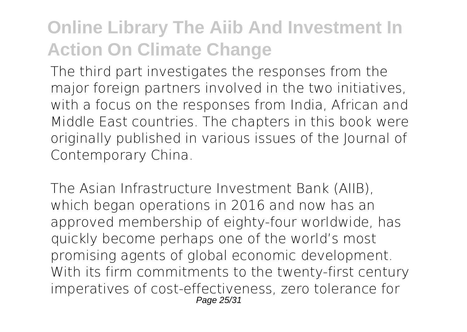The third part investigates the responses from the major foreign partners involved in the two initiatives, with a focus on the responses from India, African and Middle East countries. The chapters in this book were originally published in various issues of the Journal of Contemporary China.

The Asian Infrastructure Investment Bank (AIIB), which began operations in 2016 and now has an approved membership of eighty-four worldwide, has quickly become perhaps one of the world's most promising agents of global economic development. With its firm commitments to the twenty-first century imperatives of cost-effectiveness, zero tolerance for Page 25/31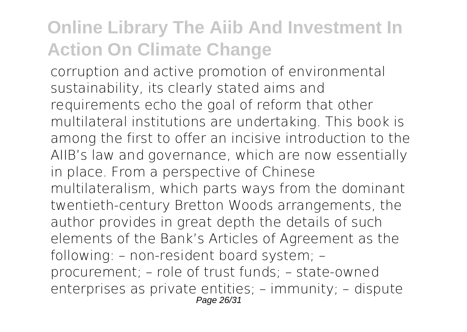corruption and active promotion of environmental sustainability, its clearly stated aims and requirements echo the goal of reform that other multilateral institutions are undertaking. This book is among the first to offer an incisive introduction to the AIIB's law and governance, which are now essentially in place. From a perspective of Chinese multilateralism, which parts ways from the dominant twentieth-century Bretton Woods arrangements, the author provides in great depth the details of such elements of the Bank's Articles of Agreement as the following: – non-resident board system; – procurement; – role of trust funds; – state-owned enterprises as private entities; – immunity; – dispute Page 26/31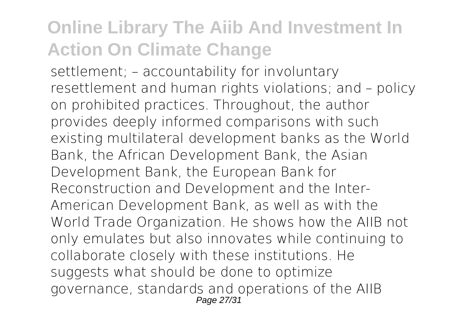settlement; – accountability for involuntary resettlement and human rights violations; and – policy on prohibited practices. Throughout, the author provides deeply informed comparisons with such existing multilateral development banks as the World Bank, the African Development Bank, the Asian Development Bank, the European Bank for Reconstruction and Development and the Inter-American Development Bank, as well as with the World Trade Organization. He shows how the AIIB not only emulates but also innovates while continuing to collaborate closely with these institutions. He suggests what should be done to optimize governance, standards and operations of the AIIB Page  $27/31$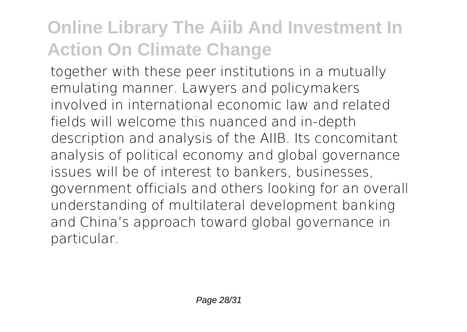together with these peer institutions in a mutually emulating manner. Lawyers and policymakers involved in international economic law and related fields will welcome this nuanced and in-depth description and analysis of the AIIB. Its concomitant analysis of political economy and global governance issues will be of interest to bankers, businesses, government officials and others looking for an overall understanding of multilateral development banking and China's approach toward global governance in particular.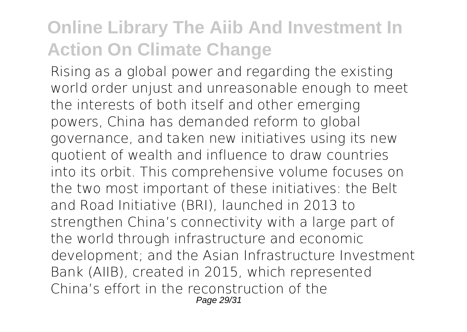Rising as a global power and regarding the existing world order unjust and unreasonable enough to meet the interests of both itself and other emerging powers, China has demanded reform to global governance, and taken new initiatives using its new quotient of wealth and influence to draw countries into its orbit. This comprehensive volume focuses on the two most important of these initiatives: the Belt and Road Initiative (BRI), launched in 2013 to strengthen China's connectivity with a large part of the world through infrastructure and economic development; and the Asian Infrastructure Investment Bank (AIIB), created in 2015, which represented China's effort in the reconstruction of the Page 29/31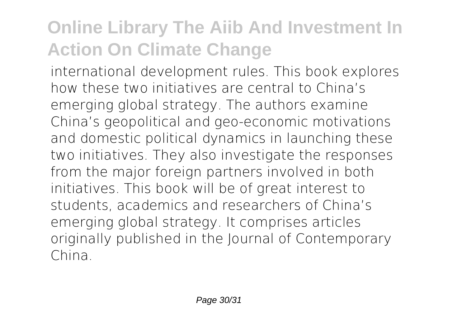international development rules. This book explores how these two initiatives are central to China's emerging global strategy. The authors examine China's geopolitical and geo-economic motivations and domestic political dynamics in launching these two initiatives. They also investigate the responses from the major foreign partners involved in both initiatives. This book will be of great interest to students, academics and researchers of China's emerging global strategy. It comprises articles originally published in the Journal of Contemporary China.